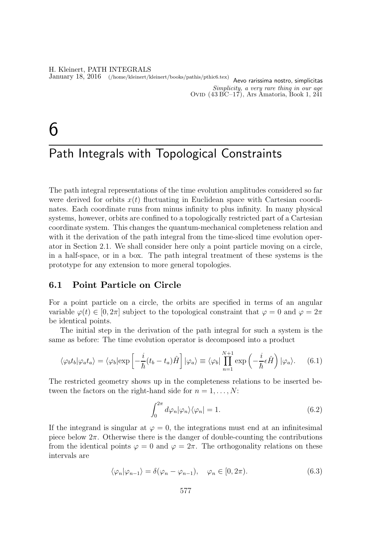H. Kleinert, PATH INTEGRALS January 18, 2016 (/home/kleinert/kleinert/books/pathis/pthic6.tex) Aevo rarissima nostro, simplicitas Simplicity, a very rare thing in our age OVID  $(43 \text{ BC}-17)$ , Ars Amatoria, Book 1, 241

# 6

# Path Integrals with Topological Constraints

The path integral representations of the time evolution amplitudes considered so far were derived for orbits  $x(t)$  fluctuating in Euclidean space with Cartesian coordinates. Each coordinate runs from minus infinity to plus infinity. In many physical systems, however, orbits are confined to a topologically restricted part of a Cartesian coordinate system. This changes the quantum-mechanical completeness relation and with it the derivation of the path integral from the time-sliced time evolution operator in Section 2.1. We shall consider here only a point particle moving on a circle, in a half-space, or in a box. The path integral treatment of these systems is the prototype for any extension to more general topologies.

# 6.1 Point Particle on Circle

For a point particle on a circle, the orbits are specified in terms of an angular variable  $\varphi(t) \in [0, 2\pi]$  subject to the topological constraint that  $\varphi = 0$  and  $\varphi = 2\pi$ be identical points.

The initial step in the derivation of the path integral for such a system is the same as before: The time evolution operator is decomposed into a product

$$
\langle \varphi_b t_b | \varphi_a t_a \rangle = \langle \varphi_b | \exp\left[ -\frac{i}{\hbar} (t_b - t_a) \hat{H} \right] | \varphi_a \rangle \equiv \langle \varphi_b | \prod_{n=1}^{N+1} \exp\left( -\frac{i}{\hbar} \epsilon \hat{H} \right) | \varphi_a \rangle. \tag{6.1}
$$

The restricted geometry shows up in the completeness relations to be inserted between the factors on the right-hand side for  $n = 1, \ldots, N$ :

$$
\int_0^{2\pi} d\varphi_n |\varphi_n\rangle \langle \varphi_n| = 1. \tag{6.2}
$$

If the integrand is singular at  $\varphi = 0$ , the integrations must end at an infinitesimal piece below  $2\pi$ . Otherwise there is the danger of double-counting the contributions from the identical points  $\varphi = 0$  and  $\varphi = 2\pi$ . The orthogonality relations on these intervals are

$$
\langle \varphi_n | \varphi_{n-1} \rangle = \delta(\varphi_n - \varphi_{n-1}), \quad \varphi_n \in [0, 2\pi). \tag{6.3}
$$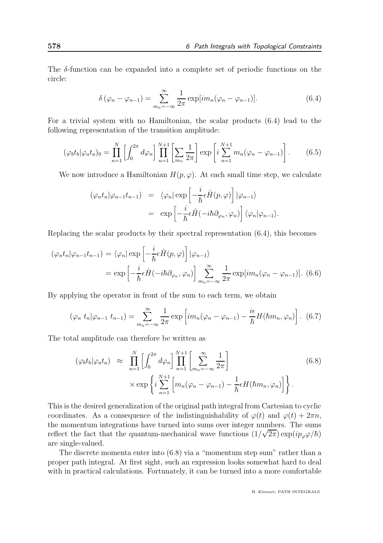The  $\delta$ -function can be expanded into a complete set of periodic functions on the circle:

$$
\delta\left(\varphi_n - \varphi_{n-1}\right) = \sum_{m_n = -\infty}^{\infty} \frac{1}{2\pi} \exp\left[i m_n(\varphi_n - \varphi_{n-1})\right].\tag{6.4}
$$

For a trivial system with no Hamiltonian, the scalar products (6.4) lead to the following representation of the transition amplitude:

$$
(\varphi_b t_b | \varphi_a t_a)_0 = \prod_{n=1}^N \left[ \int_0^{2\pi} d\varphi_n \right] \prod_{n=1}^{N+1} \left[ \sum_{m_n} \frac{1}{2\pi} \right] \exp\left[ i \sum_{n=1}^{N+1} m_n (\varphi_n - \varphi_{n-1}) \right]. \tag{6.5}
$$

We now introduce a Hamiltonian  $H(p, \varphi)$ . At each small time step, we calculate

$$
\begin{array}{rcl}\n(\varphi_n t_n | \varphi_{n-1} t_{n-1}) & = & \langle \varphi_n | \exp\left[-\frac{i}{\hbar} \epsilon \hat{H}(p, \varphi)\right] | \varphi_{n-1}\rangle \\
& = & \exp\left[-\frac{i}{\hbar} \epsilon \hat{H}(-i\hbar \partial_{\varphi_n}, \varphi_n)\right] \langle \varphi_n | \varphi_{n-1}\rangle.\n\end{array}
$$

Replacing the scalar products by their spectral representation (6.4), this becomes

$$
(\varphi_n t_n | \varphi_{n-1} t_{n-1}) = \langle \varphi_n | \exp\left[ -\frac{i}{\hbar} \epsilon \hat{H}(p, \varphi) \right] | \varphi_{n-1} \rangle
$$
  
= 
$$
\exp\left[ -\frac{i}{\hbar} \epsilon \hat{H}(-i\hbar \partial_{\varphi_n}, \varphi_n) \right] \sum_{m_n=-\infty}^{\infty} \frac{1}{2\pi} \exp[im_n(\varphi_n - \varphi_{n-1})].
$$
 (6.6)

By applying the operator in front of the sum to each term, we obtain

$$
(\varphi_n t_n | \varphi_{n-1} t_{n-1}) = \sum_{m_n = -\infty}^{\infty} \frac{1}{2\pi} \exp \left[ im_n(\varphi_n - \varphi_{n-1}) - \frac{i\epsilon}{\hbar} H(\hbar m_n, \varphi_n) \right].
$$
 (6.7)

The total amplitude can therefore be written as

$$
(\varphi_b t_b | \varphi_a t_a) \approx \prod_{n=1}^N \left[ \int_0^{2\pi} d\varphi_n \right] \prod_{n=1}^{N+1} \left[ \sum_{m_n=-\infty}^{\infty} \frac{1}{2\pi} \right] \times \exp \left\{ i \sum_{n=1}^{N+1} \left[ m_n (\varphi_n - \varphi_{n-1}) - \frac{1}{\hbar} \epsilon H(\hbar m_n, \varphi_n) \right] \right\}.
$$
 (6.8)

This is the desired generalization of the original path integral from Cartesian to cyclic coordinates. As a consequence of the indistinguishability of  $\varphi(t)$  and  $\varphi(t) + 2\pi n$ , the momentum integrations have turned into sums over integer numbers. The sums reflect the fact that the quantum-mechanical wave functions  $(1/\sqrt{2\pi}) \exp(ip_\varphi\varphi/\hbar)$ are single-valued.

The discrete momenta enter into (6.8) via a "momentum step sum" rather than a proper path integral. At first sight, such an expression looks somewhat hard to deal with in practical calculations. Fortunately, it can be turned into a more comfortable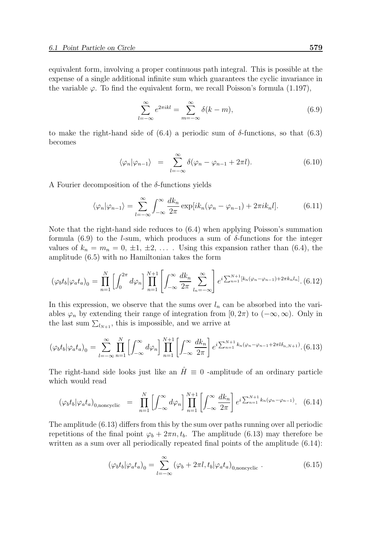equivalent form, involving a proper continuous path integral. This is possible at the expense of a single additional infinite sum which guarantees the cyclic invariance in the variable  $\varphi$ . To find the equivalent form, we recall Poisson's formula (1.197),

$$
\sum_{l=-\infty}^{\infty} e^{2\pi i k l} = \sum_{m=-\infty}^{\infty} \delta(k - m),
$$
\n(6.9)

to make the right-hand side of (6.4) a periodic sum of  $\delta$ -functions, so that (6.3) becomes

$$
\langle \varphi_n | \varphi_{n-1} \rangle = \sum_{l=-\infty}^{\infty} \delta(\varphi_n - \varphi_{n-1} + 2\pi l). \tag{6.10}
$$

A Fourier decomposition of the  $\delta$ -functions yields

$$
\langle \varphi_n | \varphi_{n-1} \rangle = \sum_{l=-\infty}^{\infty} \int_{-\infty}^{\infty} \frac{dk_n}{2\pi} \exp[i k_n(\varphi_n - \varphi_{n-1}) + 2\pi i k_n l]. \tag{6.11}
$$

Note that the right-hand side reduces to (6.4) when applying Poisson's summation formula (6.9) to the *l*-sum, which produces a sum of  $\delta$ -functions for the integer values of  $k_n = m_n = 0, \pm 1, \pm 2, \ldots$ . Using this expansion rather than (6.4), the amplitude (6.5) with no Hamiltonian takes the form

$$
(\varphi_b t_b | \varphi_a t_a)_0 = \prod_{n=1}^N \left[ \int_0^{2\pi} d\varphi_n \right] \prod_{n=1}^{N+1} \left[ \int_{-\infty}^{\infty} \frac{dk_n}{2\pi} \sum_{l_n=-\infty}^{\infty} \right] e^{i \sum_{n=1}^{N+1} \left[ k_n (\varphi_n - \varphi_{n-1}) + 2\pi k_n l_n \right]} .
$$
 (6.12)

In this expression, we observe that the sums over  $l_n$  can be absorbed into the variables  $\varphi_n$  by extending their range of integration from  $[0, 2\pi)$  to  $(-\infty, \infty)$ . Only in the last sum  $\sum_{l_{N+1}}$ , this is impossible, and we arrive at

$$
(\varphi_b t_b | \varphi_a t_a)_0 = \sum_{l=-\infty}^{\infty} \prod_{n=1}^N \left[ \int_{-\infty}^{\infty} d\varphi_n \right] \prod_{n=1}^{N+1} \left[ \int_{-\infty}^{\infty} \frac{dk_n}{2\pi} \right] e^{i \sum_{n=1}^{N+1} k_n (\varphi_n - \varphi_{n-1} + 2\pi l \delta_{n,N+1})} . (6.13)
$$

The right-hand side looks just like an  $\hat{H} \equiv 0$  -amplitude of an ordinary particle which would read

$$
(\varphi_b t_b | \varphi_a t_a)_{0,\text{noncyclic}} = \prod_{n=1}^N \left[ \int_{-\infty}^{\infty} d\varphi_n \right] \prod_{n=1}^{N+1} \left[ \int_{-\infty}^{\infty} \frac{dk_n}{2\pi} \right] e^{i \sum_{n=1}^{N+1} k_n (\varphi_n - \varphi_{n-1})} . \tag{6.14}
$$

The amplitude (6.13) differs from this by the sum over paths running over all periodic repetitions of the final point  $\varphi_b + 2\pi n, t_b$ . The amplitude (6.13) may therefore be written as a sum over all periodically repeated final points of the amplitude (6.14):

$$
(\varphi_b t_b | \varphi_a t_a)_0 = \sum_{l=-\infty}^{\infty} (\varphi_b + 2\pi l, t_b | \varphi_a t_a)_{0,\text{noncyclic}}.
$$
\n(6.15)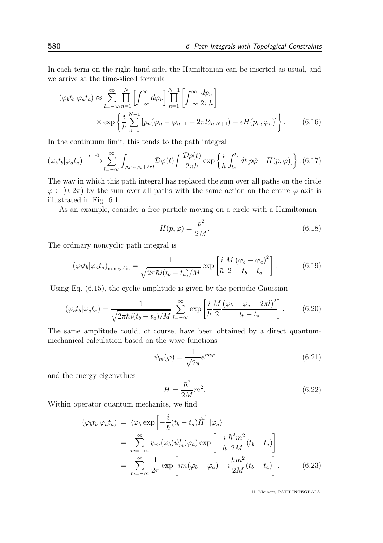In each term on the right-hand side, the Hamiltonian can be inserted as usual, and we arrive at the time-sliced formula

$$
(\varphi_b t_b | \varphi_a t_a) \approx \sum_{l=-\infty}^{\infty} \prod_{n=1}^{N} \left[ \int_{-\infty}^{\infty} d\varphi_n \right] \prod_{n=1}^{N+1} \left[ \int_{-\infty}^{\infty} \frac{dp_n}{2\pi\hbar} \right]
$$

$$
\times \exp \left\{ \frac{i}{\hbar} \sum_{n=1}^{N+1} \left[ p_n (\varphi_n - \varphi_{n-1} + 2\pi l \delta_{n,N+1}) - \epsilon H(p_n, \varphi_n) \right] \right\}.
$$
(6.16)

In the continuum limit, this tends to the path integral

$$
(\varphi_b t_b | \varphi_a t_a) \xrightarrow{\epsilon \to 0} \sum_{l=-\infty}^{\infty} \int_{\varphi_a \sim \varphi_b + 2\pi l} \mathcal{D}\varphi(t) \int \frac{\mathcal{D}p(t)}{2\pi\hbar} \exp\left\{ \frac{i}{\hbar} \int_{t_a}^{t_b} dt [p\dot{\varphi} - H(p,\varphi)] \right\} .
$$
 (6.17)

The way in which this path integral has replaced the sum over all paths on the circle  $\varphi \in [0, 2\pi)$  by the sum over all paths with the same action on the entire  $\varphi$ -axis is illustrated in Fig. 6.1.

As an example, consider a free particle moving on a circle with a Hamiltonian

$$
H(p,\varphi) = \frac{p^2}{2M}.\tag{6.18}
$$

The ordinary noncyclic path integral is

$$
(\varphi_b t_b | \varphi_a t_a)_{\text{noncyclic}} = \frac{1}{\sqrt{2\pi\hbar i (t_b - t_a)/M}} \exp\left[\frac{i}{\hbar} \frac{M}{2} \frac{(\varphi_b - \varphi_a)^2}{t_b - t_a}\right].
$$
 (6.19)

Using Eq. (6.15), the cyclic amplitude is given by the periodic Gaussian

$$
(\varphi_b t_b | \varphi_a t_a) = \frac{1}{\sqrt{2\pi\hbar i (t_b - t_a)/M}} \sum_{l=-\infty}^{\infty} \exp\left[\frac{i}{\hbar} \frac{M}{2} \frac{(\varphi_b - \varphi_a + 2\pi l)^2}{t_b - t_a}\right].
$$
 (6.20)

The same amplitude could, of course, have been obtained by a direct quantummechanical calculation based on the wave functions

$$
\psi_m(\varphi) = \frac{1}{\sqrt{2\pi}} e^{im\varphi} \tag{6.21}
$$

and the energy eigenvalues

$$
H = \frac{\hbar^2}{2M}m^2.
$$
\n
$$
(6.22)
$$

Within operator quantum mechanics, we find

$$
(\varphi_b t_b | \varphi_a t_a) = \langle \varphi_b | \exp\left[ -\frac{i}{\hbar} (t_b - t_a) \hat{H} \right] | \varphi_a \rangle
$$
  
= 
$$
\sum_{m=-\infty}^{\infty} \psi_m(\varphi_b) \psi_m^*(\varphi_a) \exp\left[ -\frac{i}{\hbar} \frac{\hbar^2 m^2}{2M} (t_b - t_a) \right]
$$
  
= 
$$
\sum_{m=-\infty}^{\infty} \frac{1}{2\pi} \exp\left[ im(\varphi_b - \varphi_a) - i \frac{\hbar m^2}{2M} (t_b - t_a) \right].
$$
 (6.23)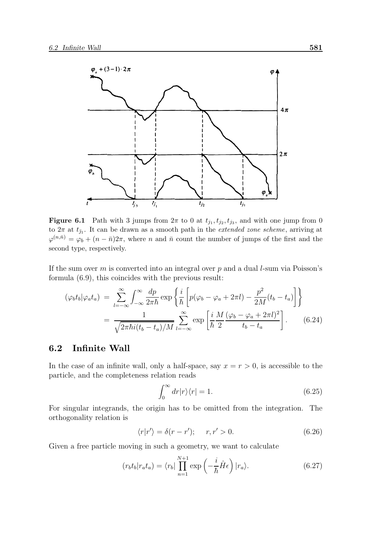

**Figure 6.1** Path with 3 jumps from  $2\pi$  to 0 at  $t_{j_1}, t_{j_2}, t_{j_3}$ , and with one jump from 0 to  $2\pi$  at  $t_{\bar{j}_1}$ . It can be drawn as a smooth path in the *extended zone scheme*, arriving at  $\varphi^{(n,\bar{n})} = \varphi_b + (n-\bar{n})2\pi$ , where n and  $\bar{n}$  count the number of jumps of the first and the second type, respectively.

If the sum over  $m$  is converted into an integral over  $p$  and a dual  $l$ -sum via Poisson's formula (6.9), this coincides with the previous result:

$$
(\varphi_b t_b | \varphi_a t_a) = \sum_{l=-\infty}^{\infty} \int_{-\infty}^{\infty} \frac{dp}{2\pi \hbar} \exp\left\{ \frac{i}{\hbar} \left[ p(\varphi_b - \varphi_a + 2\pi l) - \frac{p^2}{2M} (t_b - t_a) \right] \right\}
$$

$$
= \frac{1}{\sqrt{2\pi \hbar i (t_b - t_a)/M}} \sum_{l=-\infty}^{\infty} \exp\left[ \frac{i}{\hbar} \frac{M}{2} \frac{(\varphi_b - \varphi_a + 2\pi l)^2}{t_b - t_a} \right]. \tag{6.24}
$$

# 6.2 Infinite Wall

In the case of an infinite wall, only a half-space, say  $x = r > 0$ , is accessible to the particle, and the completeness relation reads

$$
\int_0^\infty dr |r\rangle\langle r| = 1. \tag{6.25}
$$

For singular integrands, the origin has to be omitted from the integration. The orthogonality relation is

$$
\langle r|r'\rangle = \delta(r - r'); \qquad r, r' > 0. \tag{6.26}
$$

Given a free particle moving in such a geometry, we want to calculate

$$
(r_b t_b | r_a t_a) = \langle r_b | \prod_{n=1}^{N+1} \exp\left(-\frac{i}{\hbar} \hat{H} \epsilon\right) | r_a \rangle.
$$
 (6.27)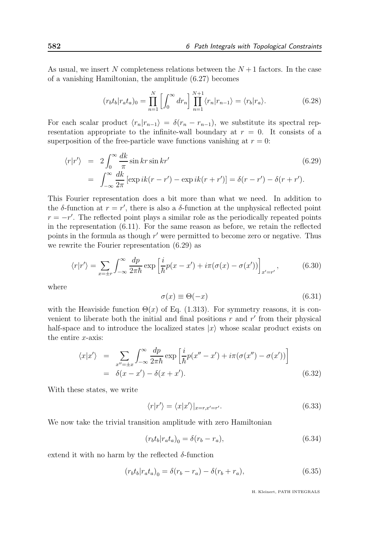As usual, we insert N completeness relations between the  $N+1$  factors. In the case of a vanishing Hamiltonian, the amplitude (6.27) becomes

$$
(r_b t_b | r_a t_a)_0 = \prod_{n=1}^N \left[ \int_0^\infty dr_n \right] \prod_{n=1}^{N+1} \langle r_n | r_{n-1} \rangle = \langle r_b | r_a \rangle. \tag{6.28}
$$

For each scalar product  $\langle r_n | r_{n-1} \rangle = \delta(r_n - r_{n-1})$ , we substitute its spectral representation appropriate to the infinite-wall boundary at  $r = 0$ . It consists of a superposition of the free-particle wave functions vanishing at  $r = 0$ :

$$
\langle r|r'\rangle = 2\int_0^\infty \frac{dk}{\pi} \sin kr \sin kr'
$$
\n
$$
= \int_{-\infty}^\infty \frac{dk}{2\pi} \left[ \exp ik(r - r') - \exp ik(r + r') \right] = \delta(r - r') - \delta(r + r').
$$
\n(6.29)

This Fourier representation does a bit more than what we need. In addition to the  $\delta$ -function at  $r = r'$ , there is also a  $\delta$ -function at the unphysical reflected point  $r = -r'$ . The reflected point plays a similar role as the periodically repeated points in the representation (6.11). For the same reason as before, we retain the reflected points in the formula as though  $r'$  were permitted to become zero or negative. Thus we rewrite the Fourier representation (6.29) as

$$
\langle r|r'\rangle = \sum_{x=\pm r} \int_{-\infty}^{\infty} \frac{dp}{2\pi\hbar} \exp\left[\frac{i}{\hbar}p(x-x') + i\pi(\sigma(x) - \sigma(x'))\right]_{x'=r'},\tag{6.30}
$$

where

$$
\sigma(x) \equiv \Theta(-x) \tag{6.31}
$$

with the Heaviside function  $\Theta(x)$  of Eq. (1.313). For symmetry reasons, it is convenient to liberate both the initial and final positions  $r$  and  $r'$  from their physical half-space and to introduce the localized states  $|x\rangle$  whose scalar product exists on the entire  $x$ -axis:

$$
\langle x|x'\rangle = \sum_{x''=\pm x} \int_{-\infty}^{\infty} \frac{dp}{2\pi\hbar} \exp\left[\frac{i}{\hbar}p(x''-x') + i\pi(\sigma(x'')-\sigma(x'))\right]
$$
  
=  $\delta(x-x') - \delta(x+x').$  (6.32)

With these states, we write

$$
\langle r|r'\rangle = \langle x|x'\rangle|_{x=r,x'=r'}.\tag{6.33}
$$

We now take the trivial transition amplitude with zero Hamiltonian

$$
(r_b t_b | r_a t_a)_0 = \delta(r_b - r_a),\tag{6.34}
$$

extend it with no harm by the reflected  $\delta$ -function

$$
(r_b t_b | r_a t_a)_0 = \delta(r_b - r_a) - \delta(r_b + r_a), \tag{6.35}
$$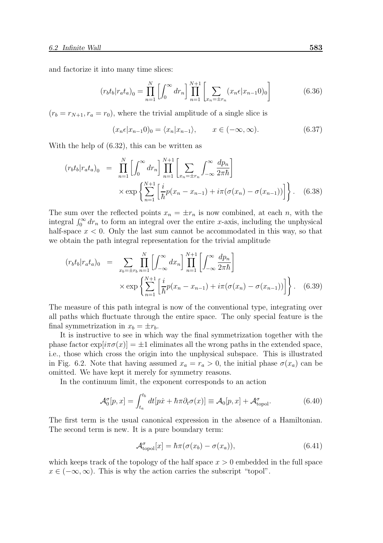and factorize it into many time slices:

$$
(r_b t_b | r_a t_a)_0 = \prod_{n=1}^{N} \left[ \int_0^{\infty} dr_n \right] \prod_{n=1}^{N+1} \left[ \sum_{x_n = \pm r_n} (x_n \epsilon | x_{n-1} 0)_0 \right]
$$
(6.36)

 $(r_b = r_{N+1}, r_a = r_0)$ , where the trivial amplitude of a single slice is

$$
(x_n \epsilon | x_{n-1} 0)_0 = \langle x_n | x_{n-1} \rangle, \qquad x \in (-\infty, \infty).
$$
 (6.37)

With the help of (6.32), this can be written as

$$
(r_b t_b | r_a t_a)_0 = \prod_{n=1}^N \left[ \int_0^\infty dr_n \right] \prod_{n=1}^{N+1} \left[ \sum_{x_n = \pm r_n} \int_{-\infty}^\infty \frac{dp_n}{2\pi \hbar} \right] \times \exp \left\{ \sum_{n=1}^{N+1} \left[ \frac{i}{\hbar} p(x_n - x_{n-1}) + i\pi (\sigma(x_n) - \sigma(x_{n-1})) \right] \right\}.
$$
 (6.38)

The sum over the reflected points  $x_n = \pm r_n$  is now combined, at each n, with the integral  $\int_0^\infty dr_n$  to form an integral over the entire x-axis, including the unphysical half-space  $x < 0$ . Only the last sum cannot be accommodated in this way, so that we obtain the path integral representation for the trivial amplitude

$$
(r_b t_b | r_a t_a)_0 = \sum_{x_b = \pm r_b} \prod_{n=1}^N \left[ \int_{-\infty}^{\infty} dx_n \right] \prod_{n=1}^{N+1} \left[ \int_{-\infty}^{\infty} \frac{dp_n}{2\pi \hbar} \right] \times \exp \left\{ \sum_{n=1}^{N+1} \left[ \frac{i}{\hbar} p(x_n - x_{n-1}) + i\pi (\sigma(x_n) - \sigma(x_{n-1})) \right] \right\}.
$$
 (6.39)

The measure of this path integral is now of the conventional type, integrating over all paths which fluctuate through the entire space. The only special feature is the final symmetrization in  $x_b = \pm r_b$ .

It is instructive to see in which way the final symmetrization together with the phase factor  $\exp[i\pi\sigma(x)] = \pm 1$  eliminates all the wrong paths in the extended space, i.e., those which cross the origin into the unphysical subspace. This is illustrated in Fig. 6.2. Note that having assumed  $x_a = r_a > 0$ , the initial phase  $\sigma(x_a)$  can be omitted. We have kept it merely for symmetry reasons.

In the continuum limit, the exponent corresponds to an action

$$
\mathcal{A}_0^{\sigma}[p,x] = \int_{t_a}^{t_b} dt[p\dot{x} + \hbar \pi \partial_t \sigma(x)] \equiv \mathcal{A}_0[p,x] + \mathcal{A}_{\text{topol}}^{\sigma}.
$$
 (6.40)

The first term is the usual canonical expression in the absence of a Hamiltonian. The second term is new. It is a pure boundary term:

$$
\mathcal{A}_{\text{topol}}^{\sigma}[x] = \hbar \pi(\sigma(x_b) - \sigma(x_a)),\tag{6.41}
$$

which keeps track of the topology of the half space  $x > 0$  embedded in the full space  $x \in (-\infty, \infty)$ . This is why the action carries the subscript "topol".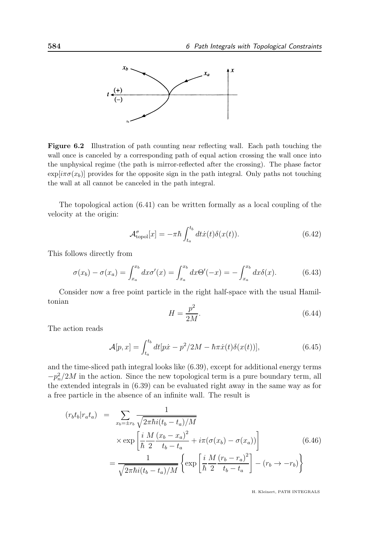

Figure 6.2 Illustration of path counting near reflecting wall. Each path touching the wall once is canceled by a corresponding path of equal action crossing the wall once into the unphysical regime (the path is mirror-reflected after the crossing). The phase factor  $\exp[i\pi\sigma(x_b)]$  provides for the opposite sign in the path integral. Only paths not touching the wall at all cannot be canceled in the path integral.

The topological action (6.41) can be written formally as a local coupling of the velocity at the origin:

$$
\mathcal{A}_{\text{topol}}^{\sigma}[x] = -\pi \hbar \int_{t_a}^{t_b} dt \dot{x}(t) \delta(x(t)). \tag{6.42}
$$

This follows directly from

$$
\sigma(x_b) - \sigma(x_a) = \int_{x_a}^{x_b} dx \sigma'(x) = \int_{x_a}^{x_b} dx \Theta'(-x) = -\int_{x_a}^{x_b} dx \delta(x).
$$
 (6.43)

Consider now a free point particle in the right half-space with the usual Hamiltonian

$$
H = \frac{p^2}{2M}.\tag{6.44}
$$

The action reads

$$
\mathcal{A}[p,x] = \int_{t_a}^{t_b} dt[p\dot{x} - p^2/2M - \hbar\pi\dot{x}(t)\delta(x(t))],
$$
\n(6.45)

and the time-sliced path integral looks like (6.39), except for additional energy terms  $-p_n^2/2M$  in the action. Since the new topological term is a pure boundary term, all the extended integrals in (6.39) can be evaluated right away in the same way as for a free particle in the absence of an infinite wall. The result is

$$
(r_b t_b | r_a t_a) = \sum_{x_b = \pm r_b} \frac{1}{\sqrt{2\pi \hbar i (t_b - t_a)/M}}
$$
  
 
$$
\times \exp\left[\frac{i}{\hbar} \frac{M}{2} \frac{(x_b - x_a)^2}{t_b - t_a} + i\pi (\sigma(x_b) - \sigma(x_a))\right]
$$
  
 
$$
= \frac{1}{\sqrt{2\pi \hbar i (t_b - t_a)/M}} \left\{ \exp\left[\frac{i}{\hbar} \frac{M}{2} \frac{(r_b - r_a)^2}{t_b - t_a}\right] - (r_b \to -r_b) \right\}
$$
(6.46)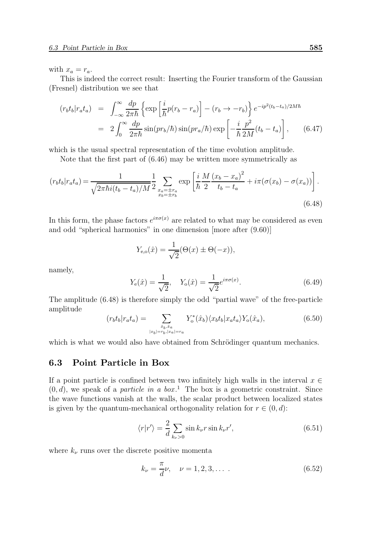with  $x_a = r_a$ .

This is indeed the correct result: Inserting the Fourier transform of the Gaussian (Fresnel) distribution we see that

$$
(r_b t_b | r_a t_a) = \int_{-\infty}^{\infty} \frac{dp}{2\pi \hbar} \left\{ \exp\left[\frac{i}{\hbar} p(r_b - r_a)\right] - (r_b \to -r_b) \right\} e^{-ip^2(t_b - t_a)/2M\hbar}
$$
  

$$
= 2 \int_{0}^{\infty} \frac{dp}{2\pi \hbar} \sin(pr_b/\hbar) \sin(pr_a/\hbar) \exp\left[-\frac{i}{\hbar} \frac{p^2}{2M}(t_b - t_a)\right], \qquad (6.47)
$$

which is the usual spectral representation of the time evolution amplitude.

Note that the first part of (6.46) may be written more symmetrically as

$$
(r_b t_b | r_a t_a) = \frac{1}{\sqrt{2\pi\hbar i (t_b - t_a)/M}} \frac{1}{2} \sum_{\substack{x_a = \pm r_a \\ x_b = \pm r_b}} \exp\left[\frac{i}{\hbar} \frac{M}{2} \frac{(x_b - x_a)^2}{t_b - t_a} + i\pi(\sigma(x_b) - \sigma(x_a))\right].
$$
\n(6.48)

In this form, the phase factors  $e^{i\pi\sigma(x)}$  are related to what may be considered as even and odd "spherical harmonics" in one dimension [more after (9.60)]

$$
Y_{e,o}(\hat{x}) = \frac{1}{\sqrt{2}}(\Theta(x) \pm \Theta(-x)),
$$

namely,

$$
Y_{e}(\hat{x}) = \frac{1}{\sqrt{2}}, \quad Y_{o}(\hat{x}) = \frac{1}{\sqrt{2}} e^{i\pi\sigma(x)}.
$$
\n(6.49)

The amplitude (6.48) is therefore simply the odd "partial wave" of the free-particle amplitude

$$
(r_b t_b | r_a t_a) = \sum_{\substack{\hat{x}_b, \hat{x}_a \\ |x_b| = r_b, |x_a| = r_a}} Y_o^*(\hat{x}_b) \langle x_b t_b | x_a t_a \rangle Y_o(\hat{x}_a), \tag{6.50}
$$

which is what we would also have obtained from Schrödinger quantum mechanics.

# 6.3 Point Particle in Box

If a point particle is confined between two infinitely high walls in the interval  $x \in$  $(0, d)$ , we speak of a *particle in a box*.<sup>1</sup> The box is a geometric constraint. Since the wave functions vanish at the walls, the scalar product between localized states is given by the quantum-mechanical orthogonality relation for  $r \in (0, d)$ :

$$
\langle r|r'\rangle = \frac{2}{d} \sum_{k_{\nu} > 0} \sin k_{\nu} r \sin k_{\nu} r', \qquad (6.51)
$$

where  $k_{\nu}$  runs over the discrete positive momenta

$$
k_{\nu} = \frac{\pi}{d} \nu, \quad \nu = 1, 2, 3, \dots \tag{6.52}
$$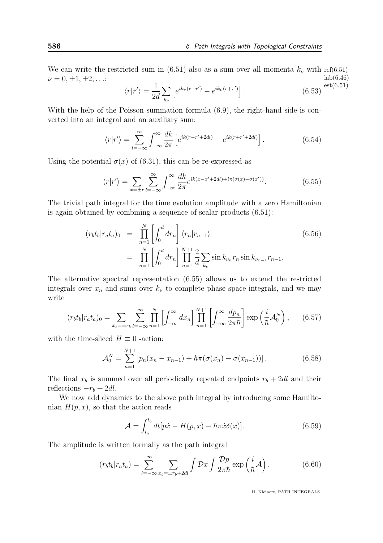We can write the restricted sum in (6.51) also as a sum over all momenta  $k_{\nu}$  with ref(6.51) lab(6.46)  $\nu = 0, \pm 1, \pm 2, \ldots$ 

$$
\langle r|r'\rangle = \frac{1}{2d} \sum_{k_{\nu}} \left[ e^{ik_{\nu}(r-r')} - e^{ik_{\nu}(r+r')} \right].
$$
 (6.53)  $\text{est}(6.51)$ 

With the help of the Poisson summation formula  $(6.9)$ , the right-hand side is converted into an integral and an auxiliary sum:

$$
\langle r|r'\rangle = \sum_{l=-\infty}^{\infty} \int_{-\infty}^{\infty} \frac{dk}{2\pi} \left[ e^{ik(r-r'+2dl)} - e^{ik(r+r'+2dl)} \right]. \tag{6.54}
$$

Using the potential  $\sigma(x)$  of (6.31), this can be re-expressed as

$$
\langle r|r'\rangle = \sum_{x=\pm r} \sum_{l=-\infty}^{\infty} \int_{-\infty}^{\infty} \frac{dk}{2\pi} e^{ik(x-x'+2dl)+i\pi(\sigma(x)-\sigma(x'))}.
$$
 (6.55)

The trivial path integral for the time evolution amplitude with a zero Hamiltonian is again obtained by combining a sequence of scalar products (6.51):

$$
(r_b t_b | r_a t_a)_0 = \prod_{n=1}^N \left[ \int_0^d dr_n \right] \langle r_n | r_{n-1} \rangle
$$
  
= 
$$
\prod_{n=1}^N \left[ \int_0^d dr_n \right] \prod_{n=1}^{N+1} \frac{2}{d} \sum_{k_{\nu}} \sin k_{\nu_n} r_n \sin k_{\nu_{n-1}} r_{n-1}.
$$
 (6.56)

The alternative spectral representation (6.55) allows us to extend the restricted integrals over  $x_n$  and sums over  $k_{\nu}$  to complete phase space integrals, and we may write

$$
(r_b t_b | r_a t_a)_0 = \sum_{x_b = \pm r_b} \sum_{l = -\infty}^{\infty} \prod_{n=1}^{N} \left[ \int_{-\infty}^{\infty} dx_n \right] \prod_{n=1}^{N+1} \left[ \int_{-\infty}^{\infty} \frac{dp_n}{2\pi \hbar} \right] \exp\left(\frac{i}{\hbar} \mathcal{A}_0^N\right), \qquad (6.57)
$$

with the time-sliced  $H \equiv 0$  -action:

$$
\mathcal{A}_0^N = \sum_{n=1}^{N+1} \left[ p_n(x_n - x_{n-1}) + \hbar \pi (\sigma(x_n) - \sigma(x_{n-1})) \right]. \tag{6.58}
$$

The final  $x_b$  is summed over all periodically repeated endpoints  $r_b + 2dl$  and their reflections  $-r_b + 2dl$ .

We now add dynamics to the above path integral by introducing some Hamiltonian  $H(p, x)$ , so that the action reads

$$
\mathcal{A} = \int_{t_a}^{t_b} dt[p\dot{x} - H(p, x) - \hbar\pi\dot{x}\delta(x)].
$$
\n(6.59)

The amplitude is written formally as the path integral

$$
(r_b t_b | r_a t_a) = \sum_{l=-\infty}^{\infty} \sum_{x_b = \pm r_b + 2dl} \int \mathcal{D}x \int \frac{\mathcal{D}p}{2\pi\hbar} \exp\left(\frac{i}{\hbar} \mathcal{A}\right).
$$
 (6.60)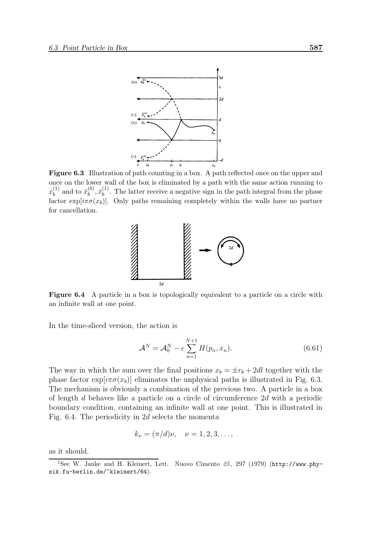

Figure 6.3 Illustration of path counting in a box. A path reflected once on the upper and once on the lower wall of the box is eliminated by a path with the same action running to  $x_b^{(1)}$  $\bar{u}_b^{(1)}$  and to  $\bar{x}_b^{(0)}$  $\bar{x}_b^{(0)}, \bar{x}_b^{(1)}$  $b^{(1)}$ . The latter receive a negative sign in the path integral from the phase factor exp[ $i\pi\sigma(x_b)$ ]. Only paths remaining completely within the walls have no partner for cancellation.



Figure 6.4 A particle in a box is topologically equivalent to a particle on a circle with an infinite wall at one point.

In the time-sliced version, the action is

$$
\mathcal{A}^N = \mathcal{A}_0^N - \epsilon \sum_{n=1}^{N+1} H(p_n, x_n). \tag{6.61}
$$

The way in which the sum over the final positions  $x_b = \pm r_b + 2dl$  together with the phase factor  $\exp[i\pi\sigma(x_b)]$  eliminates the unphysical paths is illustrated in Fig. 6.3. The mechanism is obviously a combination of the previous two. A particle in a box of length d behaves like a particle on a circle of circumference 2d with a periodic boundary condition, containing an infinite wall at one point. This is illustrated in Fig. 6.4. The periodicity in 2d selects the momenta

$$
k_{\nu} = (\pi/d)\nu, \quad \nu = 1, 2, 3, \dots,
$$

as it should.

<sup>&</sup>lt;sup>1</sup>See W. Janke and H. Kleinert, Lett. Nuovo Cimento  $25$ , 297 (1979) (http://www.physik.fu-berlin.de/~kleinert/64).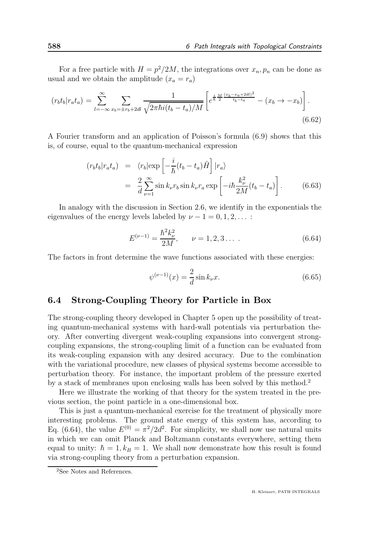For a free particle with  $H = p^2/2M$ , the integrations over  $x_n, p_n$  can be done as usual and we obtain the amplitude  $(x_a = r_a)$ 

$$
(r_b t_b | r_a t_a) = \sum_{l=-\infty}^{\infty} \sum_{x_b = \pm r_b + 2dl} \frac{1}{\sqrt{2\pi\hbar i (t_b - t_a)/M}} \left[ e^{\frac{i}{\hbar} \frac{M}{2} \frac{(x_b - x_a + 2dl)^2}{t_b - t_a}} - (x_b \to -x_b) \right].
$$
\n(6.62)

A Fourier transform and an application of Poisson's formula (6.9) shows that this is, of course, equal to the quantum-mechanical expression

$$
(r_b t_b | r_a t_a) = \langle r_b | \exp\left[ -\frac{i}{\hbar} (t_b - t_a) \hat{H} \right] | r_a \rangle
$$
  

$$
= \frac{2}{d} \sum_{\nu=1}^{\infty} \sin k_{\nu} r_b \sin k_{\nu} r_a \exp\left[ -i\hbar \frac{k_{\nu}^2}{2M} (t_b - t_a) \right].
$$
 (6.63)

In analogy with the discussion in Section 2.6, we identify in the exponentials the eigenvalues of the energy levels labeled by  $\nu - 1 = 0, 1, 2, \ldots$ :

$$
E^{(\nu-1)} = \frac{\hbar^2 k_{\nu}^2}{2M}, \qquad \nu = 1, 2, 3 \dots \tag{6.64}
$$

The factors in front determine the wave functions associated with these energies:

$$
\psi^{(\nu-1)}(x) = \frac{2}{d} \sin k_{\nu} x.
$$
\n(6.65)

# 6.4 Strong-Coupling Theory for Particle in Box

The strong-coupling theory developed in Chapter 5 open up the possibility of treating quantum-mechanical systems with hard-wall potentials via perturbation theory. After converting divergent weak-coupling expansions into convergent strongcoupling expansions, the strong-coupling limit of a function can be evaluated from its weak-coupling expansion with any desired accuracy. Due to the combination with the variational procedure, new classes of physical systems become accessible to perturbation theory. For instance, the important problem of the pressure exerted by a stack of membranes upon enclosing walls has been solved by this method.<sup>2</sup>

Here we illustrate the working of that theory for the system treated in the previous section, the point particle in a one-dimensional box.

This is just a quantum-mechanical exercise for the treatment of physically more interesting problems. The ground state energy of this system has, according to Eq. (6.64), the value  $E^{(0)} = \pi^2/2d^2$ . For simplicity, we shall now use natural units in which we can omit Planck and Boltzmann constants everywhere, setting them equal to unity:  $\hbar = 1, k_B = 1$ . We shall now demonstrate how this result is found via strong-coupling theory from a perturbation expansion.

<sup>&</sup>lt;sup>2</sup>See Notes and References.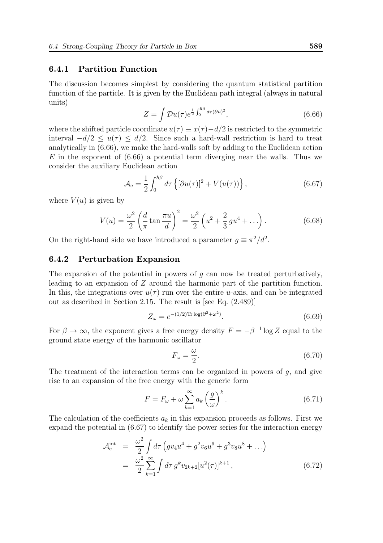#### 6.4.1 Partition Function

The discussion becomes simplest by considering the quantum statistical partition function of the particle. It is given by the Euclidean path integral (always in natural units)

$$
Z = \int \mathcal{D}u(\tau)e^{\frac{1}{2}\int_0^{\hbar \beta} d\tau (\partial u)^2},\tag{6.66}
$$

where the shifted particle coordinate  $u(\tau) \equiv x(\tau) - d/2$  is restricted to the symmetric interval  $-d/2 < u(\tau) < d/2$ . Since such a hard-wall restriction is hard to treat analytically in (6.66), we make the hard-walls soft by adding to the Euclidean action  $E$  in the exponent of  $(6.66)$  a potential term diverging near the walls. Thus we consider the auxiliary Euclidean action

$$
\mathcal{A}_{\mathbf{e}} = \frac{1}{2} \int_0^{\hbar \beta} d\tau \left\{ [\partial u(\tau)]^2 + V(u(\tau)) \right\},\tag{6.67}
$$

where  $V(u)$  is given by

$$
V(u) = \frac{\omega^2}{2} \left( \frac{d}{\pi} \tan \frac{\pi u}{d} \right)^2 = \frac{\omega^2}{2} \left( u^2 + \frac{2}{3} g u^4 + \dots \right). \tag{6.68}
$$

On the right-hand side we have introduced a parameter  $g \equiv \pi^2/d^2$ .

#### 6.4.2 Perturbation Expansion

The expansion of the potential in powers of  $g$  can now be treated perturbatively, leading to an expansion of Z around the harmonic part of the partition function. In this, the integrations over  $u(\tau)$  run over the entire u-axis, and can be integrated out as described in Section 2.15. The result is [see Eq. (2.489)]

$$
Z_{\omega} = e^{-(1/2)\text{Tr}\log(\partial^2 + \omega^2)}.
$$
\n(6.69)

For  $\beta \to \infty$ , the exponent gives a free energy density  $F = -\beta^{-1} \log Z$  equal to the ground state energy of the harmonic oscillator

$$
F_{\omega} = \frac{\omega}{2}.\tag{6.70}
$$

The treatment of the interaction terms can be organized in powers of  $q$ , and give rise to an expansion of the free energy with the generic form

$$
F = F_{\omega} + \omega \sum_{k=1}^{\infty} a_k \left(\frac{g}{\omega}\right)^k.
$$
 (6.71)

The calculation of the coefficients  $a_k$  in this expansion proceeds as follows. First we expand the potential in (6.67) to identify the power series for the interaction energy

$$
\mathcal{A}_{e}^{\text{int}} = \frac{\omega^{2}}{2} \int d\tau \left( g v_{4} u^{4} + g^{2} v_{6} u^{6} + g^{3} v_{8} u^{8} + \ldots \right)
$$
\n
$$
= \frac{\omega^{2}}{2} \sum_{k=1}^{\infty} \int d\tau \, g^{k} v_{2k+2} [u^{2}(\tau)]^{k+1}, \tag{6.72}
$$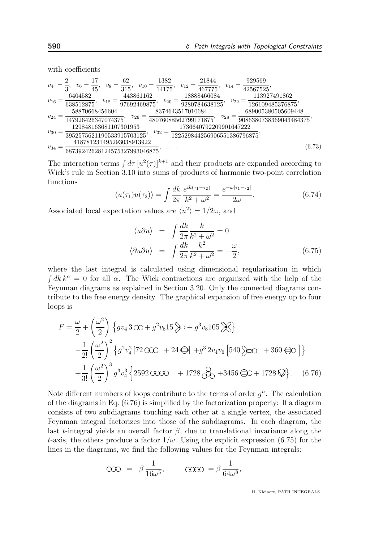with coefficients

$$
v_4 = \frac{2}{3}, v_6 = \frac{17}{45}, v_8 = \frac{62}{315}, v_{10} = \frac{1382}{14175}, v_{12} = \frac{21844}{467775}, v_{14} = \frac{929569}{42567525},
$$
  
\n
$$
v_{16} = \frac{6404582}{638512875}, v_{18} = \frac{443861162}{97692469875}, v_{20} = \frac{18888466084}{9280784638125}, v_{22} = \frac{113927491862}{126109485376875},
$$
  
\n
$$
v_{24} = \frac{58870668456604}{147926426347074375}, v_{26} = \frac{8374643517010684}{48076088562799171875}, v_{28} = \frac{689005380505609448}{9086380738369043484375},
$$
  
\n
$$
v_{30} = \frac{129848163681107301953}{3952575621190533915703125}, v_{32} = \frac{1736640792209901647222}{122529844256906551386796875},
$$
  
\n
$$
v_{34} = \frac{418781231495293038913922}{68739242628124575327993046875}, \dots
$$
  
\n(6.73)

The interaction terms  $\int d\tau \, [u^2(\tau)]^{k+1}$  and their products are expanded according to Wick's rule in Section 3.10 into sums of products of harmonic two-point correlation functions

$$
\langle u(\tau_1)u(\tau_2)\rangle = \int \frac{dk}{2\pi} \frac{e^{ik(\tau_1 - \tau_2)}}{k^2 + \omega^2} = \frac{e^{-\omega|\tau_1 - \tau_2|}}{2\omega}.
$$
 (6.74)

Associated local expectation values are  $\langle u^2 \rangle = 1/2\omega$ , and

$$
\langle u \partial u \rangle = \int \frac{dk}{2\pi} \frac{k}{k^2 + \omega^2} = 0
$$
  

$$
\langle \partial u \partial u \rangle = \int \frac{dk}{2\pi} \frac{k^2}{k^2 + \omega^2} = -\frac{\omega}{2},
$$
 (6.75)

where the last integral is calculated using dimensional regularization in which  $\int dk \, k^{\alpha} = 0$  for all  $\alpha$ . The Wick contractions are organized with the help of the Feynman diagrams as explained in Section 3.20. Only the connected diagrams contribute to the free energy density. The graphical expansion of free energy up to four loops is

$$
F = \frac{\omega}{2} + \left(\frac{\omega^2}{2}\right) \left\{gv_4 3\omega + g^2 v_6 15 \right\} \rightarrow + g^3 v_8 105 \right\}
$$
  

$$
-\frac{1}{2!} \left(\frac{\omega^2}{2}\right)^2 \left\{g^2 v_4^2 \left[72\omega\omega + 24\Theta\right] + g^3 2 v_4 v_6 \left[540 \right\} \rightarrow \infty + 360 \Theta\right) \right\}
$$
  

$$
+\frac{1}{3!} \left(\frac{\omega^2}{2}\right)^3 g^3 v_4^3 \left\{2592\omega\omega + 1728\Theta\right\} + 3456 \Theta\omega + 1728 \Theta \right\}. \quad (6.76)
$$

Note different numbers of loops contribute to the terms of order  $g<sup>n</sup>$ . The calculation of the diagrams in Eq. (6.76) is simplified by the factorization property: If a diagram consists of two subdiagrams touching each other at a single vertex, the associated Feynman integral factorizes into those of the subdiagrams. In each diagram, the last t-integral yields an overall factor  $\beta$ , due to translational invariance along the t-axis, the others produce a factor  $1/\omega$ . Using the explicit expression (6.75) for the lines in the diagrams, we find the following values for the Feynman integrals:

$$
\text{OOO} = \beta \frac{1}{16\omega^5}, \qquad \text{OOO} = \beta \frac{1}{64\omega^8},
$$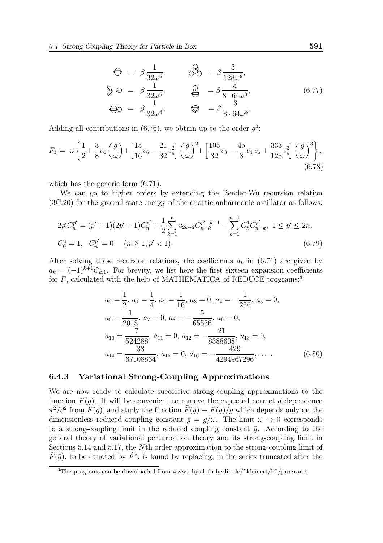$$
\Theta = \beta \frac{1}{32\omega^5}, \qquad \mathcal{S}_0 = \beta \frac{3}{128\omega^8},
$$
  
\n
$$
\mathcal{S}_0 = \beta \frac{1}{32\omega^6}, \qquad \mathcal{S}_0 = \beta \frac{5}{8 \cdot 64\omega^8},
$$
  
\n
$$
\Theta_0 = \beta \frac{1}{32\omega^6}, \qquad \mathcal{S}_0 = \beta \frac{3}{8 \cdot 64\omega^8}.
$$
  
\n(6.77)

Adding all contributions in (6.76), we obtain up to the order  $g^3$ :

$$
F_3 = \omega \left\{ \frac{1}{2} + \frac{3}{8} v_4 \left( \frac{g}{\omega} \right) + \left[ \frac{15}{16} v_6 - \frac{21}{32} v_4^2 \right] \left( \frac{g}{\omega} \right)^2 + \left[ \frac{105}{32} v_8 - \frac{45}{8} v_4 v_6 + \frac{333}{128} v_4^3 \right] \left( \frac{g}{\omega} \right)^3 \right\},\tag{6.78}
$$

which has the generic form (6.71).

We can go to higher orders by extending the Bender-Wu recursion relation (3C.20) for the ground state energy of the quartic anharmonic oscillator as follows:

$$
2p'C_n^{p'} = (p' + 1)(2p' + 1)C_n^{p'} + \frac{1}{2} \sum_{k=1}^n v_{2k+2} C_{n-k}^{p'-k-1} - \sum_{k=1}^{n-1} C_k^1 C_{n-k}^{p'}, \ 1 \le p' \le 2n,
$$
  

$$
C_0^0 = 1, \ C_n^{p'} = 0 \quad (n \ge 1, p' < 1).
$$
 (6.79)

After solving these recursion relations, the coefficients  $a_k$  in (6.71) are given by  $a_k = (-1)^{k+1}C_{k,1}$ . For brevity, we list here the first sixteen expansion coefficients for  $F$ , calculated with the help of MATHEMATICA of REDUCE programs:<sup>3</sup>

$$
a_0 = \frac{1}{2}, a_1 = \frac{1}{4}, a_2 = \frac{1}{16}, a_3 = 0, a_4 = -\frac{1}{256}, a_5 = 0,
$$
  
\n
$$
a_6 = \frac{1}{2048}, a_7 = 0, a_8 = -\frac{5}{65536}, a_9 = 0,
$$
  
\n
$$
a_{10} = \frac{7}{524288}, a_{11} = 0, a_{12} = -\frac{21}{8388608}, a_{13} = 0,
$$
  
\n
$$
a_{14} = \frac{33}{67108864}, a_{15} = 0, a_{16} = -\frac{429}{4294967296}, \dots
$$
\n(6.80)

#### 6.4.3 Variational Strong-Coupling Approximations

We are now ready to calculate successive strong-coupling approximations to the function  $F(q)$ . It will be convenient to remove the expected correct d dependence  $\pi^2/d^2$  from  $F(g)$ , and study the function  $\tilde{F}(\bar{g}) \equiv F(g)/g$  which depends only on the dimensionless reduced coupling constant  $\bar{g} = g/\omega$ . The limit  $\omega \to 0$  corresponds to a strong-coupling limit in the reduced coupling constant  $\bar{q}$ . According to the general theory of variational perturbation theory and its strong-coupling limit in Sections 5.14 and 5.17, the Nth order approximation to the strong-coupling limit of  $\tilde{F}(\bar{g})$ , to be denoted by  $\tilde{F}^*$ , is found by replacing, in the series truncated after the

<sup>&</sup>lt;sup>3</sup>The programs can be downloaded from www.physik.fu-berlin.de/ $\degree$ kleinert/b5/programs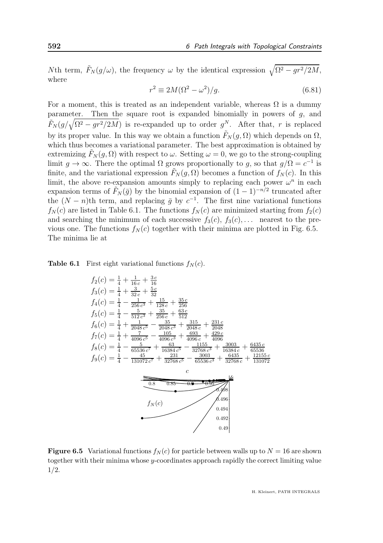Nth term,  $\tilde{F}_N(g/\omega)$ , the frequency  $\omega$  by the identical expression  $\sqrt{\Omega^2 - gr^2/2M}$ , where

$$
r^2 \equiv 2M(\Omega^2 - \omega^2)/g. \tag{6.81}
$$

For a moment, this is treated as an independent variable, whereas  $\Omega$  is a dummy parameter. Then the square root is expanded binomially in powers of  $g$ , and  $\tilde{F}_N(g/\sqrt{\Omega^2 - gr^2/2M})$  is re-expanded up to order  $g^N$ . After that, r is replaced by its proper value. In this way we obtain a function  $\tilde{F}_N(q, \Omega)$  which depends on  $\Omega$ , which thus becomes a variational parameter. The best approximation is obtained by extremizing  $F_N(q, \Omega)$  with respect to  $\omega$ . Setting  $\omega = 0$ , we go to the strong-coupling limit  $g \to \infty$ . There the optimal  $\Omega$  grows proportionally to g, so that  $g/\Omega = c^{-1}$  is finite, and the variational expression  $\tilde{F}_N(g, \Omega)$  becomes a function of  $f_N(c)$ . In this limit, the above re-expansion amounts simply to replacing each power  $\omega^n$  in each expansion terms of  $\tilde{F}_N(\bar{g})$  by the binomial expansion of  $(1-1)^{-n/2}$  truncated after the  $(N - n)$ <sup>th</sup> term, and replacing  $\bar{g}$  by  $c^{-1}$ . The first nine variational functions  $f_N(c)$  are listed in Table 6.1. The functions  $f_N(c)$  are minimized starting from  $f_2(c)$ and searching the minimum of each successive  $f_3(c)$ ,  $f_3(c)$ , ... nearest to the previous one. The functions  $f_N(c)$  together with their minima are plotted in Fig. 6.5. The minima lie at

**Table 6.1** First eight variational functions  $f_N(c)$ .



**Figure 6.5** Variational functions  $f_N(c)$  for particle between walls up to  $N = 16$  are shown together with their minima whose y-coordinates approach rapidly the correct limiting value 1/2.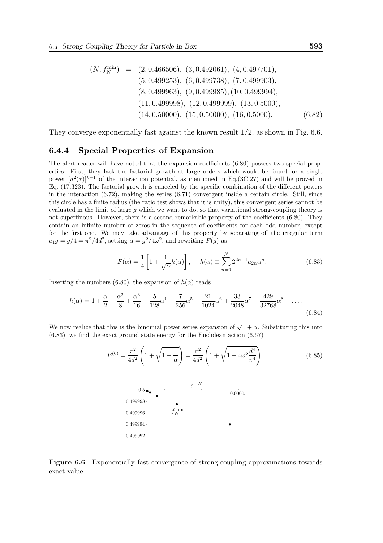$$
(N, f_N^{\min}) = (2, 0.466506), (3, 0.492061), (4, 0.497701),(5, 0.499253), (6, 0.499738), (7, 0.499903),(8, 0.499963), (9, 0.499985), (10, 0.499994),(11, 0.499998), (12, 0.499999), (13, 0.5000),(14, 0.50000), (15, 0.50000), (16, 0.5000). (6.82)
$$

They converge exponentially fast against the known result 1/2, as shown in Fig. 6.6.

#### 6.4.4 Special Properties of Expansion

The alert reader will have noted that the expansion coefficients (6.80) possess two special properties: First, they lack the factorial growth at large orders which would be found for a single power  $[u^2(\tau)]^{k+1}$  of the interaction potential, as mentioned in Eq.(3C.27) and will be proved in Eq. (17.323). The factorial growth is canceled by the specific combination of the different powers in the interaction  $(6.72)$ , making the series  $(6.71)$  convergent inside a certain circle. Still, since this circle has a finite radius (the ratio test shows that it is unity), this convergent series cannot be evaluated in the limit of large  $g$  which we want to do, so that variational strong-coupling theory is not superfluous. However, there is a second remarkable property of the coefficients (6.80): They contain an infinite number of zeros in the sequence of coefficients for each odd number, except for the first one. We may take advantage of this property by separating off the irregular term  $a_1g = g/4 = \pi^2/4d^2$ , setting  $\alpha = g^2/4\omega^2$ , and rewriting  $\tilde{F}(\bar{g})$  as

$$
\tilde{F}(\alpha) = \frac{1}{4} \left[ 1 + \frac{1}{\sqrt{\alpha}} h(\alpha) \right], \quad h(\alpha) \equiv \sum_{n=0}^{N} 2^{2n+1} a_{2n} \alpha^n.
$$
\n(6.83)

Inserting the numbers (6.80), the expansion of  $h(\alpha)$  reads

$$
h(\alpha) = 1 + \frac{\alpha}{2} - \frac{\alpha^2}{8} + \frac{\alpha^3}{16} - \frac{5}{128}\alpha^4 + \frac{7}{256}\alpha^5 - \frac{21}{1024}\alpha^6 + \frac{33}{2048}\alpha^7 - \frac{429}{32768}\alpha^8 + \dots
$$
\n(6.84)

We now realize that this is the binomial power series expansion of  $\sqrt{1+\alpha}$ . Substituting this into (6.83), we find the exact ground state energy for the Euclidean action (6.67)

$$
E^{(0)} = \frac{\pi^2}{4d^2} \left( 1 + \sqrt{1 + \frac{1}{\alpha}} \right) = \frac{\pi^2}{4d^2} \left( 1 + \sqrt{1 + 4\omega^2 \frac{d^4}{\pi^4}} \right).
$$
(6.85)  

$$
\bullet
$$
  
0.499998  
0.499996  
f<sub>N</sub>  
0.499994  
0.499994  
0.499992

Figure 6.6 Exponentially fast convergence of strong-coupling approximations towards exact value.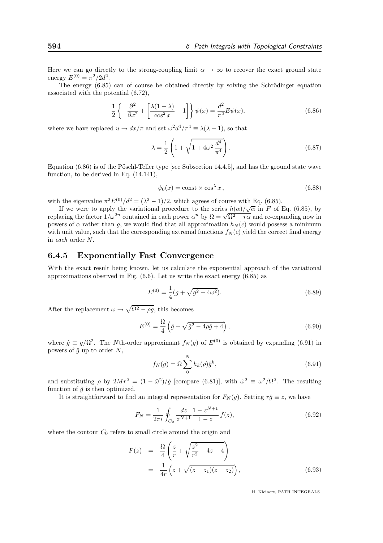Here we can go directly to the strong-coupling limit  $\alpha \to \infty$  to recover the exact ground state energy  $E^{(0)} = \pi^2/2d^2$ .

The energy  $(6.85)$  can of course be obtained directly by solving the Schrödinger equation associated with the potential (6.72),

$$
\frac{1}{2}\left\{-\frac{\partial^2}{\partial x^2} + \left[\frac{\lambda(1-\lambda)}{\cos^2 x} - 1\right]\right\}\psi(x) = \frac{d^2}{\pi^2}E\psi(x),\tag{6.86}
$$

where we have replaced  $u \to dx/\pi$  and set  $\omega^2 d^4/\pi^4 \equiv \lambda(\lambda - 1)$ , so that

$$
\lambda = \frac{1}{2} \left( 1 + \sqrt{1 + 4\omega^2 \frac{d^4}{\pi^4}} \right).
$$
 (6.87)

Equation  $(6.86)$  is of the Pöschl-Teller type [see Subsection 14.4.5], and has the ground state wave function, to be derived in Eq. (14.141),

$$
\psi_0(x) = \text{const} \times \cos^{\lambda} x \,,\tag{6.88}
$$

with the eigenvalue  $\pi^2 E^{(0)}/d^2 = (\lambda^2 - 1)/2$ , which agrees of course with Eq. (6.85).

If we were to apply the variational procedure to the series  $h(\alpha)/\sqrt{\alpha}$  in F of Eq. (6.85), by replacing the factor  $1/\omega^{2n}$  contained in each power  $\alpha^n$  by  $\Omega = \sqrt{\Omega^2 - r\alpha}$  and re-expanding now in powers of  $\alpha$  rather than q, we would find that all approximation  $h_N(c)$  would possess a minimum with unit value, such that the corresponding extremal functions  $f_N(c)$  yield the correct final energy in each order N.

#### 6.4.5 Exponentially Fast Convergence

With the exact result being known, let us calculate the exponential approach of the variational approximations observed in Fig. (6.6). Let us write the exact energy (6.85) as

$$
E^{(0)} = \frac{1}{4}(g + \sqrt{g^2 + 4\omega^2}).
$$
\n(6.89)

After the replacement  $\omega \to \sqrt{\Omega^2 - \rho g}$ , this becomes

$$
E^{(0)} = \frac{\Omega}{4} \left( \hat{g} + \sqrt{\hat{g}^2 - 4\rho \hat{g} + 4} \right),
$$
\n(6.90)

where  $\hat{g} \equiv g/\Omega^2$ . The Nth-order approximant  $f_N(g)$  of  $E^{(0)}$  is obtained by expanding (6.91) in powers of  $\hat{g}$  up to order N,

$$
f_N(g) = \Omega \sum_{0}^{N} h_k(\rho) \hat{g}^k, \qquad (6.91)
$$

and substituting  $\rho$  by  $2Mr^2 = (1 - \hat{\omega}^2)/\hat{g}$  [compare (6.81)], with  $\hat{\omega}^2 \equiv \omega^2/\Omega^2$ . The resulting function of  $\hat{q}$  is then optimized.

It is straightforward to find an integral representation for  $F_N(g)$ . Setting  $r\hat{g} \equiv z$ , we have

$$
F_N = \frac{1}{2\pi i} \oint_{C_0} \frac{dz}{z^{N+1}} \frac{1 - z^{N+1}}{1 - z} f(z),\tag{6.92}
$$

where the contour  $C_0$  refers to small circle around the origin and

$$
F(z) = \frac{\Omega}{4} \left( \frac{z}{r} + \sqrt{\frac{z^2}{r^2} - 4z + 4} \right)
$$
  
=  $\frac{1}{4r} \left( z + \sqrt{(z - z_1)(z - z_2)} \right),$  (6.93)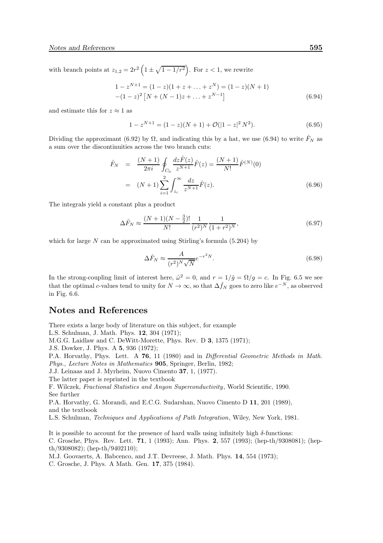with branch points at  $z_{1,2} = 2r^2 \left(1 \pm \sqrt{1-1/r^2}\right)$ . For  $z < 1$ , we rewrite

$$
1 - z^{N+1} = (1 - z)(1 + z + \dots + z^N) = (1 - z)(N + 1)
$$
  
-(1 - z)<sup>2</sup> [N + (N - 1)z + \dots + z<sup>N-1</sup>] (6.94)

and estimate this for  $z \approx 1$  as

$$
1 - z^{N+1} = (1 - z)(N + 1) + \mathcal{O}(|1 - z|^2 N^2). \tag{6.95}
$$

Dividing the approximant (6.92) by  $\Omega$ , and indicating this by a hat, we use (6.94) to write  $\hat{F}_N$  as a sum over the discontinuities across the two branch cuts:

$$
\hat{F}_N = \frac{(N+1)}{2\pi i} \oint_{C_0} \frac{dz \hat{F}(z)}{z^{N+1}} \hat{F}(z) = \frac{(N+1)}{N!} \hat{F}^{(N)}(0)
$$

$$
= (N+1) \sum_{i=1}^2 \int_{z_i}^{\infty} \frac{dz}{z^{N+1}} \hat{F}(z).
$$
(6.96)

The integrals yield a constant plus a product

$$
\Delta \hat{F}_N \approx \frac{(N+1)(N-\frac{3}{2})!}{N!} \frac{1}{(r^2)^N} \frac{1}{(1+r^2)^N},\tag{6.97}
$$

which for large  $N$  can be approximated using Stirling's formula (5.204) by

$$
\Delta \hat{F}_N \approx \frac{A}{(r^2)^N \sqrt{N}} e^{-r^2 N}.\tag{6.98}
$$

In the strong-coupling limit of interest here,  $\hat{\omega}^2 = 0$ , and  $r = 1/\hat{g} = \Omega/g = c$ . In Fig. 6.5 we see that the optimal c-values tend to unity for  $N \to \infty$ , so that  $\Delta \hat{f}_N$  goes to zero like  $e^{-N}$ , as observed in Fig. 6.6.

# Notes and References

There exists a large body of literature on this subject, for example

L.S. Schulman, J. Math. Phys. 12, 304 (1971);

M.G.G. Laidlaw and C. DeWitt-Morette, Phys. Rev. D 3, 1375 (1971);

J.S. Dowker, J. Phys. A 5, 936 (1972);

P.A. Horvathy, Phys. Lett. A 76, 11 (1980) and in Differential Geometric Methods in Math. Phys., Lecture Notes in Mathematics 905, Springer, Berlin, 1982;

J.J. Leinaas and J. Myrheim, Nuovo Cimento 37, 1, (1977).

The latter paper is reprinted in the textbook

F. Wilczek, Fractional Statistics and Anyon Superconductivity, World Scientific, 1990. See further

P.A. Horvathy, G. Morandi, and E.C.G. Sudarshan, Nuovo Cimento D 11, 201 (1989), and the textbook

L.S. Schulman, Techniques and Applications of Path Integration, Wiley, New York, 1981.

It is possible to account for the presence of hard walls using infinitely high  $\delta$ -functions:

C. Grosche, Phys. Rev. Lett. 71, 1 (1993); Ann. Phys. 2, 557 (1993); (hep-th/9308081); (hepth/9308082); (hep-th/9402110);

M.J. Goovaerts, A. Babcenco, and J.T. Devreese, J. Math. Phys. 14, 554 (1973);

C. Grosche, J. Phys. A Math. Gen. 17, 375 (1984).